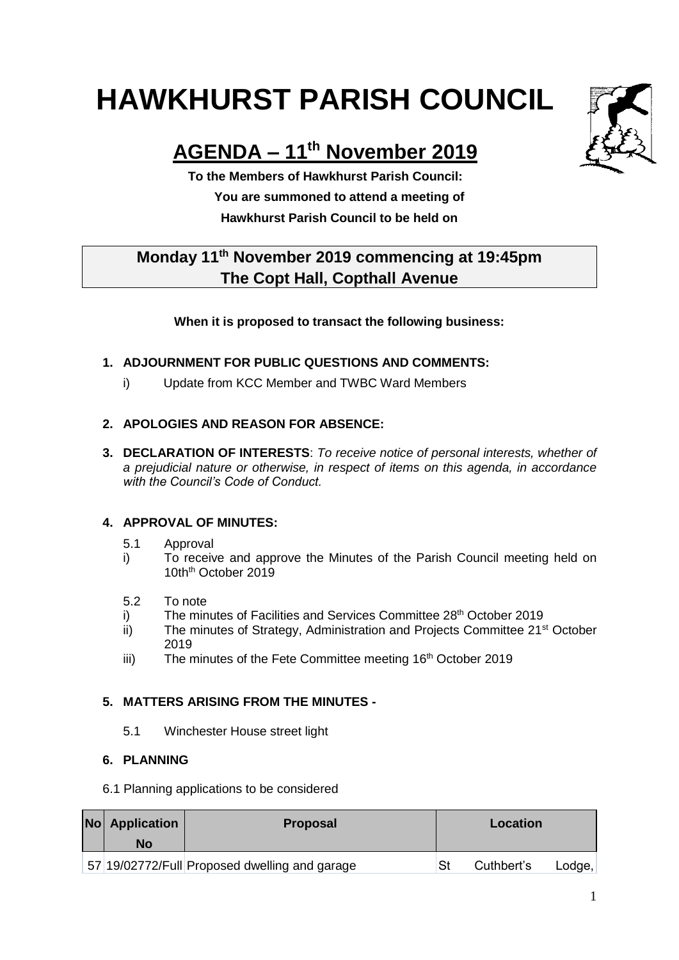# **HAWKHURST PARISH COUNCIL**

## **AGENDA – 11th November 2019**

**To the Members of Hawkhurst Parish Council: You are summoned to attend a meeting of Hawkhurst Parish Council to be held on**

### **Monday 11th November 2019 commencing at 19:45pm The Copt Hall, Copthall Avenue**

#### **When it is proposed to transact the following business:**

#### **1. ADJOURNMENT FOR PUBLIC QUESTIONS AND COMMENTS:**

i) Update from KCC Member and TWBC Ward Members

#### **2. APOLOGIES AND REASON FOR ABSENCE:**

**3. DECLARATION OF INTERESTS**: *To receive notice of personal interests, whether of a prejudicial nature or otherwise, in respect of items on this agenda, in accordance with the Council's Code of Conduct.*

#### **4. APPROVAL OF MINUTES:**

- 5.1 Approval
- i) To receive and approve the Minutes of the Parish Council meeting held on 10th<sup>th</sup> October 2019
- 5.2 To note
- i) The minutes of Facilities and Services Committee 28<sup>th</sup> October 2019
- $\overline{ii}$  The minutes of Strategy, Administration and Projects Committee 21<sup>st</sup> October 2019
- iii) The minutes of the Fete Committee meeting 16<sup>th</sup> October 2019

#### **5. MATTERS ARISING FROM THE MINUTES -**

5.1 Winchester House street light

#### **6. PLANNING**

6.1 Planning applications to be considered

| <b>No</b> Application<br>No | <b>Proposal</b>                               |     | Location   |        |
|-----------------------------|-----------------------------------------------|-----|------------|--------|
|                             | 57 19/02772/Full Proposed dwelling and garage | .St | Cuthbert's | Lodge, |

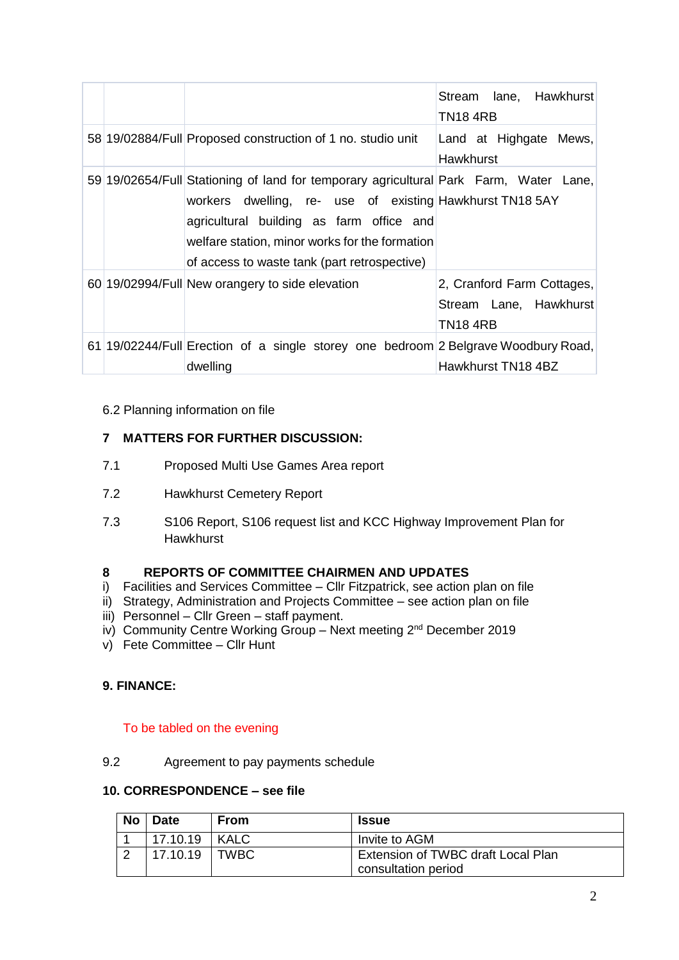|  |                                                                                                                                                                                                                                                                                                 | lane, Hawkhurst<br>Stream<br>TN18 4RB                            |
|--|-------------------------------------------------------------------------------------------------------------------------------------------------------------------------------------------------------------------------------------------------------------------------------------------------|------------------------------------------------------------------|
|  | 58 19/02884/Full Proposed construction of 1 no. studio unit                                                                                                                                                                                                                                     | Land at Highgate Mews,<br>Hawkhurst                              |
|  | 59 19/02654/Full Stationing of land for temporary agricultural Park Farm, Water Lane,<br>workers dwelling, re- use of existing Hawkhurst TN18 5AY<br>agricultural building as farm office and<br>welfare station, minor works for the formation<br>of access to waste tank (part retrospective) |                                                                  |
|  | 60 19/02994/Full New orangery to side elevation                                                                                                                                                                                                                                                 | 2, Cranford Farm Cottages,<br>Stream Lane, Hawkhurst<br>TN18 4RB |
|  | 61 19/02244/Full Erection of a single storey one bedroom 2 Belgrave Woodbury Road,<br>dwelling                                                                                                                                                                                                  | Hawkhurst TN18 4BZ                                               |

#### 6.2 Planning information on file

#### **7 MATTERS FOR FURTHER DISCUSSION:**

- 7.1 Proposed Multi Use Games Area report
- 7.2 Hawkhurst Cemetery Report
- 7.3 S106 Report, S106 request list and KCC Highway Improvement Plan for **Hawkhurst**

#### **8 REPORTS OF COMMITTEE CHAIRMEN AND UPDATES**

- i) Facilities and Services Committee Cllr Fitzpatrick, see action plan on file
- ii) Strategy, Administration and Projects Committee see action plan on file
- iii) Personnel Cllr Green staff payment.
- iv) Community Centre Working Group Next meeting 2<sup>nd</sup> December 2019
- v) Fete Committee Cllr Hunt

#### **9. FINANCE:**

#### To be tabled on the evening

9.2 Agreement to pay payments schedule

#### **10. CORRESPONDENCE – see file**

| <b>No</b> | <b>Date</b> | From        | <b>Issue</b>                       |
|-----------|-------------|-------------|------------------------------------|
|           | 17.10.19    | <b>KALC</b> | Invite to AGM                      |
|           | 17.10.19    | <b>TWBC</b> | Extension of TWBC draft Local Plan |
|           |             |             | consultation period                |